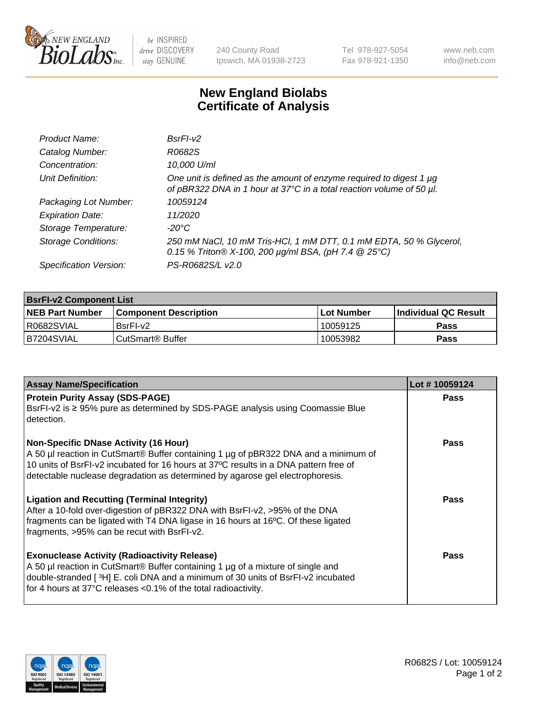

be INSPIRED drive DISCOVERY stay GENUINE

240 County Road Ipswich, MA 01938-2723 Tel 978-927-5054 Fax 978-921-1350 www.neb.com info@neb.com

## **New England Biolabs Certificate of Analysis**

| Product Name:              | $BsrFI-V2$                                                                                                                                  |
|----------------------------|---------------------------------------------------------------------------------------------------------------------------------------------|
| Catalog Number:            | R0682S                                                                                                                                      |
| Concentration:             | 10,000 U/ml                                                                                                                                 |
| Unit Definition:           | One unit is defined as the amount of enzyme required to digest 1 µg<br>of pBR322 DNA in 1 hour at 37°C in a total reaction volume of 50 µl. |
| Packaging Lot Number:      | 10059124                                                                                                                                    |
| <b>Expiration Date:</b>    | 11/2020                                                                                                                                     |
| Storage Temperature:       | $-20^{\circ}$ C                                                                                                                             |
| <b>Storage Conditions:</b> | 250 mM NaCl, 10 mM Tris-HCl, 1 mM DTT, 0.1 mM EDTA, 50 % Glycerol,<br>0.15 % Triton® X-100, 200 µg/ml BSA, (pH 7.4 @ 25°C)                  |
| Specification Version:     | PS-R0682S/L v2.0                                                                                                                            |

| <b>BsrFI-v2 Component List</b> |                         |             |                             |  |  |
|--------------------------------|-------------------------|-------------|-----------------------------|--|--|
| <b>NEB Part Number</b>         | l Component Description | ⊺Lot Number | <b>Individual QC Result</b> |  |  |
| I R0682SVIAL                   | BsrFI-v2                | 10059125    | Pass                        |  |  |
| IB7204SVIAL                    | l CutSmart® Buffer_     | 10053982    | Pass                        |  |  |

| <b>Assay Name/Specification</b>                                                                                                                                                                                                                                                                              | Lot #10059124 |
|--------------------------------------------------------------------------------------------------------------------------------------------------------------------------------------------------------------------------------------------------------------------------------------------------------------|---------------|
| <b>Protein Purity Assay (SDS-PAGE)</b><br>BsrFI-v2 is ≥ 95% pure as determined by SDS-PAGE analysis using Coomassie Blue<br>detection.                                                                                                                                                                       | Pass          |
| <b>Non-Specific DNase Activity (16 Hour)</b><br>A 50 µl reaction in CutSmart® Buffer containing 1 µg of pBR322 DNA and a minimum of<br>10 units of BsrFI-v2 incubated for 16 hours at 37°C results in a DNA pattern free of<br>detectable nuclease degradation as determined by agarose gel electrophoresis. | <b>Pass</b>   |
| <b>Ligation and Recutting (Terminal Integrity)</b><br>After a 10-fold over-digestion of pBR322 DNA with BsrFI-v2, >95% of the DNA<br>fragments can be ligated with T4 DNA ligase in 16 hours at 16°C. Of these ligated<br>fragments, >95% can be recut with BsrFI-v2.                                        | Pass          |
| <b>Exonuclease Activity (Radioactivity Release)</b><br>A 50 µl reaction in CutSmart® Buffer containing 1 µg of a mixture of single and<br>double-stranded [3H] E. coli DNA and a minimum of 30 units of BsrFI-v2 incubated<br>for 4 hours at 37°C releases <0.1% of the total radioactivity.                 | <b>Pass</b>   |